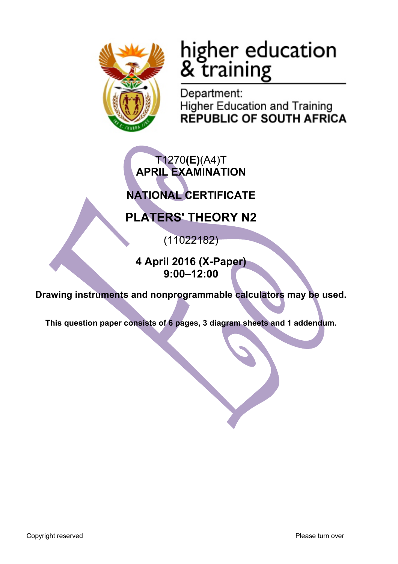

# higher education<br>& training

Department: **Higher Education and Training REPUBLIC OF SOUTH AFRICA** 

# T1270**(E)**(A4)T **APRIL EXAMINATION**

# **NATIONAL CERTIFICATE**

# **PLATERS' THEORY N2**

(11022182)

**4 April 2016 (X-Paper) 9:00–12:00**

**Drawing instruments and nonprogrammable calculators may be used.**

**This question paper consists of 6 pages, 3 diagram sheets and 1 addendum.**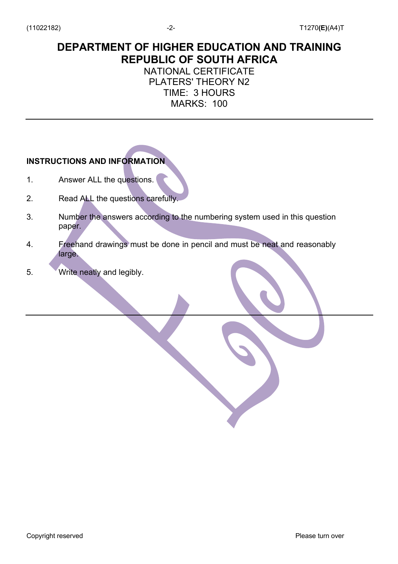# **DEPARTMENT OF HIGHER EDUCATION AND TRAINING REPUBLIC OF SOUTH AFRICA**

# NATIONAL CERTIFICATE PLATERS' THEORY N2 TIME: 3 HOURS MARKS: 100

# **INSTRUCTIONS AND INFORMATION**

- 1. Answer ALL the questions.
- 2. Read ALL the questions carefully.
- 3. Number the answers according to the numbering system used in this question paper.
- 4. Freehand drawings must be done in pencil and must be neat and reasonably large.
- 5. Write neatly and legibly.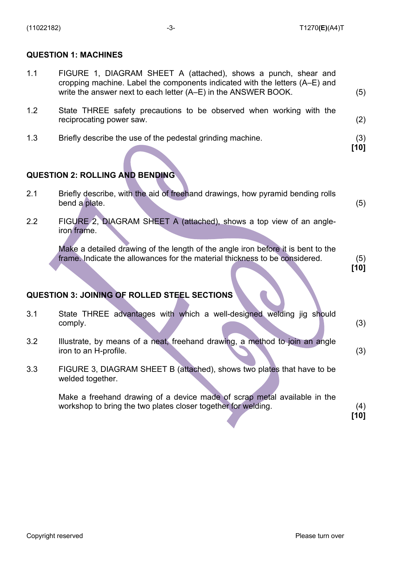## **QUESTION 1: MACHINES**

| 1.1 | FIGURE 1, DIAGRAM SHEET A (attached), shows a punch, shear and              |  |  |  |  |  |  |  |  |
|-----|-----------------------------------------------------------------------------|--|--|--|--|--|--|--|--|
|     | cropping machine. Label the components indicated with the letters (A–E) and |  |  |  |  |  |  |  |  |
|     | write the answer next to each letter (A–E) in the ANSWER BOOK.              |  |  |  |  |  |  |  |  |

| 1.2 | State THREE safety precautions to be observed when working with the |  |  |  |  |  |  |
|-----|---------------------------------------------------------------------|--|--|--|--|--|--|
|     | reciprocating power saw.                                            |  |  |  |  |  |  |

1.3 Briefly describe the use of the pedestal grinding machine. (3)

# **QUESTION 2: ROLLING AND BENDING**

| 2.1 |               |  | Briefly describe, with the aid of freehand drawings, how pyramid bending rolls |  |
|-----|---------------|--|--------------------------------------------------------------------------------|--|
|     | bend a plate. |  |                                                                                |  |

2.2 FIGURE 2, DIAGRAM SHEET A (attached), shows a top view of an angleiron frame.

> Make a detailed drawing of the length of the angle iron before it is bent to the frame. Indicate the allowances for the material thickness to be considered. (5)

**[10]**

**[10]**

# **QUESTION 3: JOINING OF ROLLED STEEL SECTIONS**

| 3.1 | State THREE advantages with which a well-designed welding jig should<br>comply.                                                           | (3)         |
|-----|-------------------------------------------------------------------------------------------------------------------------------------------|-------------|
| 3.2 | Illustrate, by means of a neat, freehand drawing, a method to join an angle<br>iron to an H-profile.                                      | (3)         |
| 3.3 | FIGURE 3, DIAGRAM SHEET B (attached), shows two plates that have to be<br>welded together.                                                |             |
|     | Make a freehand drawing of a device made of scrap metal available in the<br>workshop to bring the two plates closer together for welding. | (4)<br>[10] |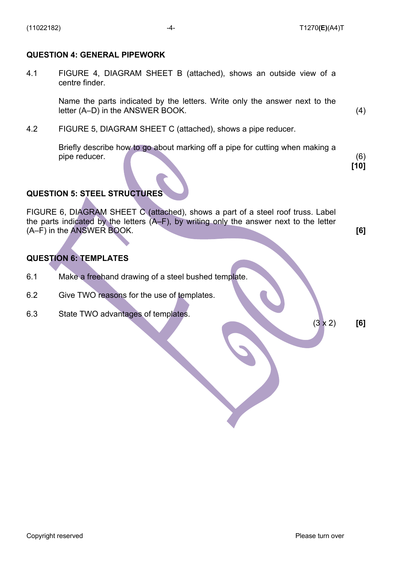### **QUESTION 4: GENERAL PIPEWORK**

4.1 FIGURE 4, DIAGRAM SHEET B (attached), shows an outside view of a centre finder.

> Name the parts indicated by the letters. Write only the answer next to the letter (A–D) in the ANSWER BOOK. (4)

4.2 FIGURE 5, DIAGRAM SHEET C (attached), shows a pipe reducer.

Briefly describe how to go about marking off a pipe for cutting when making a pipe reducer. (6)

**[10]**

# **QUESTION 5: STEEL STRUCTURES**

FIGURE 6, DIAGRAM SHEET C (attached), shows a part of a steel roof truss. Label the parts indicated by the letters (A–F), by writing only the answer next to the letter (A–F) in the ANSWER BOOK. **[6]**

# **QUESTION 6: TEMPLATES**

- 6.1 Make a freehand drawing of a steel bushed template.
- 6.2 Give TWO reasons for the use of templates.
- 6.3 State TWO advantages of templates.

(3 x 2) **[6]**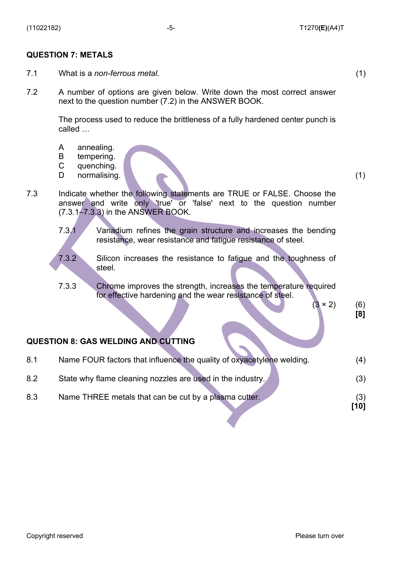### **QUESTION 7: METALS**

- 7.1 What is a *non-ferrous metal.* (1)
- 7.2 A number of options are given below. Write down the most correct answer next to the question number (7.2) in the ANSWER BOOK.

The process used to reduce the brittleness of a fully hardened center punch is called …

- A annealing.
- B tempering.
- $\mathcal{C}$ quenching.
- D. normalising. (1) (1)

7.3 Indicate whether the following statements are TRUE or FALSE. Choose the answer and write only 'true' or 'false' next to the question number (7.3.1–7.3.3) in the ANSWER BOOK.

- 7.3.1 Vanadium refines the grain structure and increases the bending resistance, wear resistance and fatigue resistance of steel.
- 7.3.2 Silicon increases the resistance to fatigue and the toughness of steel.
- 7.3.3 Chrome improves the strength, increases the temperature required for effective hardening and the wear resistance of steel.

### $(3 \times 2)$  (6)  **[8]**

### **QUESTION 8: GAS WELDING AND CUTTING**

| 8.1 | Name FOUR factors that influence the quality of oxyacetylene welding. | (4)         |
|-----|-----------------------------------------------------------------------|-------------|
| 8.2 | State why flame cleaning nozzles are used in the industry.            | (3)         |
| 8.3 | Name THREE metals that can be cut by a plasma cutter.                 | (3)<br>[10] |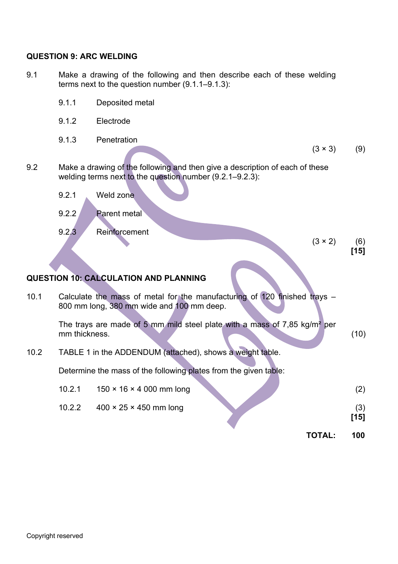## **QUESTION 9: ARC WELDING**

- 9.1 Make a drawing of the following and then describe each of these welding terms next to the question number (9.1.1–9.1.3):
	- 9.1.1 Deposited metal
	- 9.1.2 Electrode
	- 9.1.3 Penetration

 $(3 \times 3)$  (9)

- 9.2 Make a drawing of the following and then give a description of each of these welding terms next to the question number (9.2.1–9.2.3):
	- 9.2.1 Weld zone
	- 9.2.2 Parent metal
	- 9.2.3 Reinforcement

 $(3 \times 2)$  (6) **[15]**

# **QUESTION 10: CALCULATION AND PLANNING**

| 10.1 |               | Calculate the mass of metal for the manufacturing of 120 finished trays $-$<br>800 mm long, 380 mm wide and 100 mm deep. |        |               |
|------|---------------|--------------------------------------------------------------------------------------------------------------------------|--------|---------------|
|      | mm thickness. | The trays are made of 5 mm mild steel plate with a mass of 7,85 kg/m <sup>2</sup> per                                    |        | (10)          |
| 10.2 |               | TABLE 1 in the ADDENDUM (attached), shows a weight table.                                                                |        |               |
|      |               | Determine the mass of the following plates from the given table:                                                         |        |               |
|      | 10.2.1        | $150 \times 16 \times 4000$ mm long                                                                                      |        | (2)           |
|      | 10.2.2        | $400 \times 25 \times 450$ mm long                                                                                       |        | (3)<br>$[15]$ |
|      |               |                                                                                                                          | TOTAL: | 100           |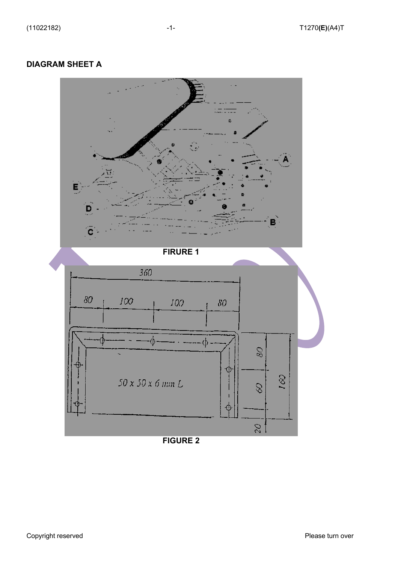# **DIAGRAM SHEET A**



**FIGURE 2**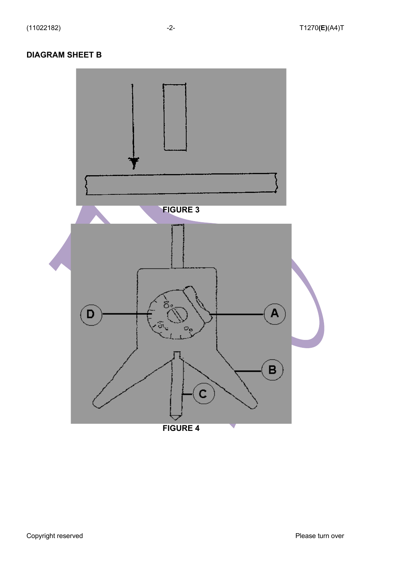# **DIAGRAM SHEET B**

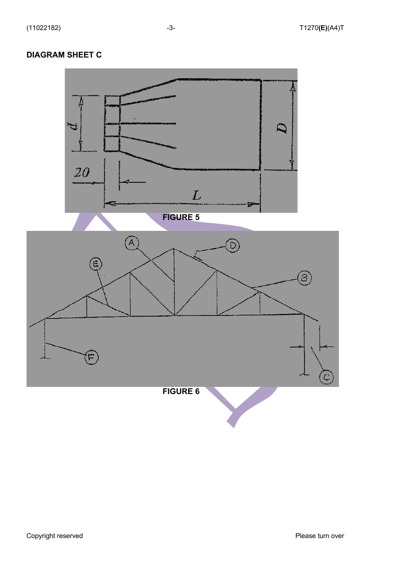# **DIAGRAM SHEET C**